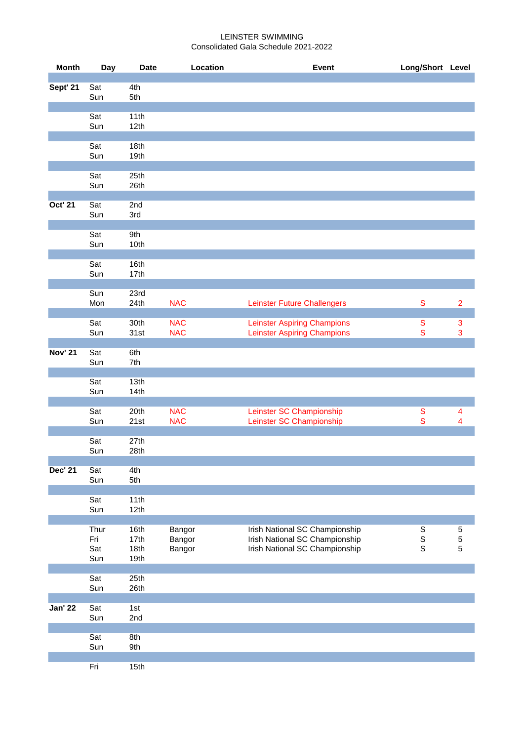## LEINSTER SWIMMING Consolidated Gala Schedule 2021-2022

| <b>Month</b>   | Day                       | <b>Date</b>                  | Location                   | <b>Event</b>                                                                                       | Long/Short Level                          |                                |
|----------------|---------------------------|------------------------------|----------------------------|----------------------------------------------------------------------------------------------------|-------------------------------------------|--------------------------------|
| Sept' 21       | Sat<br>Sun                | 4th<br>5th                   |                            |                                                                                                    |                                           |                                |
|                | Sat<br>Sun                | 11th<br>12th                 |                            |                                                                                                    |                                           |                                |
|                | Sat<br>Sun                | 18th<br>19th                 |                            |                                                                                                    |                                           |                                |
|                | Sat<br>Sun                | 25th<br>26th                 |                            |                                                                                                    |                                           |                                |
| <b>Oct' 21</b> | Sat<br>Sun                | 2nd<br>3rd                   |                            |                                                                                                    |                                           |                                |
|                | Sat<br>Sun                | 9th<br>10th                  |                            |                                                                                                    |                                           |                                |
|                | Sat<br>Sun                | 16th<br>17th                 |                            |                                                                                                    |                                           |                                |
|                | Sun<br>Mon                | 23rd<br>24th                 | <b>NAC</b>                 | <b>Leinster Future Challengers</b>                                                                 | ${\mathsf S}$                             | $\overline{2}$                 |
|                | Sat<br>Sun                | 30th<br>31st                 | <b>NAC</b><br><b>NAC</b>   | <b>Leinster Aspiring Champions</b><br><b>Leinster Aspiring Champions</b>                           | ${\mathsf S}$<br>${\mathbf S}$            | $\ensuremath{\mathsf{3}}$<br>3 |
| <b>Nov' 21</b> | Sat<br>Sun                | 6th<br>7th                   |                            |                                                                                                    |                                           |                                |
|                | Sat<br>Sun                | 13th<br>14th                 |                            |                                                                                                    |                                           |                                |
|                | Sat<br>Sun                | 20th<br>21st                 | <b>NAC</b><br><b>NAC</b>   | Leinster SC Championship<br>Leinster SC Championship                                               | ${\mathsf S}$<br>${\mathbf S}$            | 4<br>4                         |
|                | Sat<br>Sun                | 27th<br>28th                 |                            |                                                                                                    |                                           |                                |
| <b>Dec' 21</b> | Sat<br>Sun                | 4th<br>5th                   |                            |                                                                                                    |                                           |                                |
|                | Sat<br>Sun                | 11th<br>12th                 |                            |                                                                                                    |                                           |                                |
|                | Thur<br>Fri<br>Sat<br>Sun | 16th<br>17th<br>18th<br>19th | Bangor<br>Bangor<br>Bangor | Irish National SC Championship<br>Irish National SC Championship<br>Irish National SC Championship | $\mathbb S$<br>$\mathbb S$<br>$\mathsf S$ | $\mathbf 5$<br>5<br>5          |
|                | Sat<br>Sun                | 25th<br>26th                 |                            |                                                                                                    |                                           |                                |
| <b>Jan' 22</b> | Sat<br>Sun                | 1st<br>2nd                   |                            |                                                                                                    |                                           |                                |
|                | Sat<br>Sun                | 8th<br>9th                   |                            |                                                                                                    |                                           |                                |
|                | Fri                       | 15th                         |                            |                                                                                                    |                                           |                                |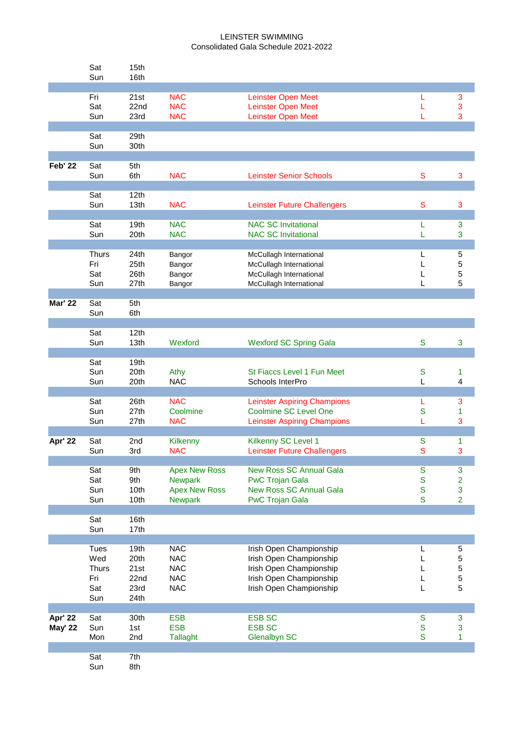## LEINSTER SWIMMING Consolidated Gala Schedule 2021-2022

|                           | Sat<br>Sun                                              | 15th<br>16th                                 |                                                                                  |                                                                                                                                     |                                                                |                                                       |
|---------------------------|---------------------------------------------------------|----------------------------------------------|----------------------------------------------------------------------------------|-------------------------------------------------------------------------------------------------------------------------------------|----------------------------------------------------------------|-------------------------------------------------------|
|                           | Fri<br>Sat<br>Sun                                       | 21st<br>22nd<br>23rd                         | <b>NAC</b><br><b>NAC</b><br><b>NAC</b>                                           | <b>Leinster Open Meet</b><br><b>Leinster Open Meet</b><br>Leinster Open Meet                                                        | L<br>L<br>L                                                    | $\mathsf 3$<br>3<br>3                                 |
|                           | Sat<br>Sun                                              | 29th<br>30th                                 |                                                                                  |                                                                                                                                     |                                                                |                                                       |
| <b>Feb' 22</b>            | Sat<br>Sun                                              | 5th<br>6th                                   | <b>NAC</b>                                                                       | <b>Leinster Senior Schools</b>                                                                                                      | $\mathbf S$                                                    | 3                                                     |
|                           | Sat<br>Sun                                              | 12 <sub>th</sub><br>13th                     | <b>NAC</b>                                                                       | <b>Leinster Future Challengers</b>                                                                                                  | S                                                              | 3                                                     |
|                           | Sat<br>Sun                                              | 19th<br>20th                                 | <b>NAC</b><br><b>NAC</b>                                                         | <b>NAC SC Invitational</b><br><b>NAC SC Invitational</b>                                                                            | L<br>L                                                         | $\mathbf{3}$<br>3                                     |
|                           | <b>Thurs</b><br>Fri<br>Sat<br>Sun                       | 24th<br>25th<br>26th<br>27th                 | Bangor<br>Bangor<br>Bangor<br>Bangor                                             | McCullagh International<br>McCullagh International<br>McCullagh International<br>McCullagh International                            | L<br>L<br>L<br>L                                               | 5<br>5<br>5<br>5                                      |
| <b>Mar' 22</b>            | Sat<br>Sun                                              | 5th<br>6th                                   |                                                                                  |                                                                                                                                     |                                                                |                                                       |
|                           | Sat<br>Sun                                              | 12 <sub>th</sub><br>13th                     | Wexford                                                                          | <b>Wexford SC Spring Gala</b>                                                                                                       | ${\mathbf S}$                                                  | 3                                                     |
|                           | Sat<br>Sun<br>Sun                                       | 19th<br>20th<br>20th                         | Athy<br><b>NAC</b>                                                               | St Fiaccs Level 1 Fun Meet<br>Schools InterPro                                                                                      | ${\mathbf S}$<br>L                                             | 1<br>4                                                |
|                           | Sat<br>Sun<br>Sun                                       | 26th<br>27th<br>27th                         | <b>NAC</b><br>Coolmine<br><b>NAC</b>                                             | <b>Leinster Aspiring Champions</b><br><b>Coolmine SC Level One</b><br><b>Leinster Aspiring Champions</b>                            | L<br>S<br>L                                                    | 3<br>1<br>3                                           |
| Apr' 22                   | Sat<br>Sun                                              | 2nd<br>3rd                                   | Kilkenny<br><b>NAC</b>                                                           | Kilkenny SC Level 1<br><b>Leinster Future Challengers</b>                                                                           | S<br>$\mathbf S$                                               | 1<br>3                                                |
|                           | Sat<br>Sat<br>Sun<br>Sun                                | 9th<br>9th<br>10th<br>10th                   | <b>Apex New Ross</b><br><b>Newpark</b><br><b>Apex New Ross</b><br><b>Newpark</b> | <b>New Ross SC Annual Gala</b><br><b>PwC Trojan Gala</b><br><b>New Ross SC Annual Gala</b><br><b>PwC Trojan Gala</b>                | ${\mathbf S}$<br>${\mathbf S}$<br>${\mathbf S}$<br>$\mathbf S$ | $\mathbf{3}$<br>$\overline{2}$<br>3<br>$\overline{2}$ |
|                           | Sat<br>Sun                                              | 16th<br>17th                                 |                                                                                  |                                                                                                                                     |                                                                |                                                       |
|                           | <b>Tues</b><br>Wed<br><b>Thurs</b><br>Fri<br>Sat<br>Sun | 19th<br>20th<br>21st<br>22nd<br>23rd<br>24th | <b>NAC</b><br><b>NAC</b><br><b>NAC</b><br><b>NAC</b><br><b>NAC</b>               | Irish Open Championship<br>Irish Open Championship<br>Irish Open Championship<br>Irish Open Championship<br>Irish Open Championship | L<br>L<br>L<br>L<br>L                                          | 5<br>5<br>5<br>5<br>5                                 |
| Apr' 22<br><b>May' 22</b> | Sat<br>Sun<br>Mon                                       | 30th<br>1st<br>2nd                           | <b>ESB</b><br><b>ESB</b><br><b>Tallaght</b>                                      | <b>ESB SC</b><br><b>ESB SC</b><br><b>Glenalbyn SC</b>                                                                               | ${\mathsf S}$<br>${\mathbf S}$<br>$\mathbf S$                  | $\mathbf{3}$<br>3<br>1                                |
|                           | Sat<br>Sun                                              | 7th<br>8th                                   |                                                                                  |                                                                                                                                     |                                                                |                                                       |